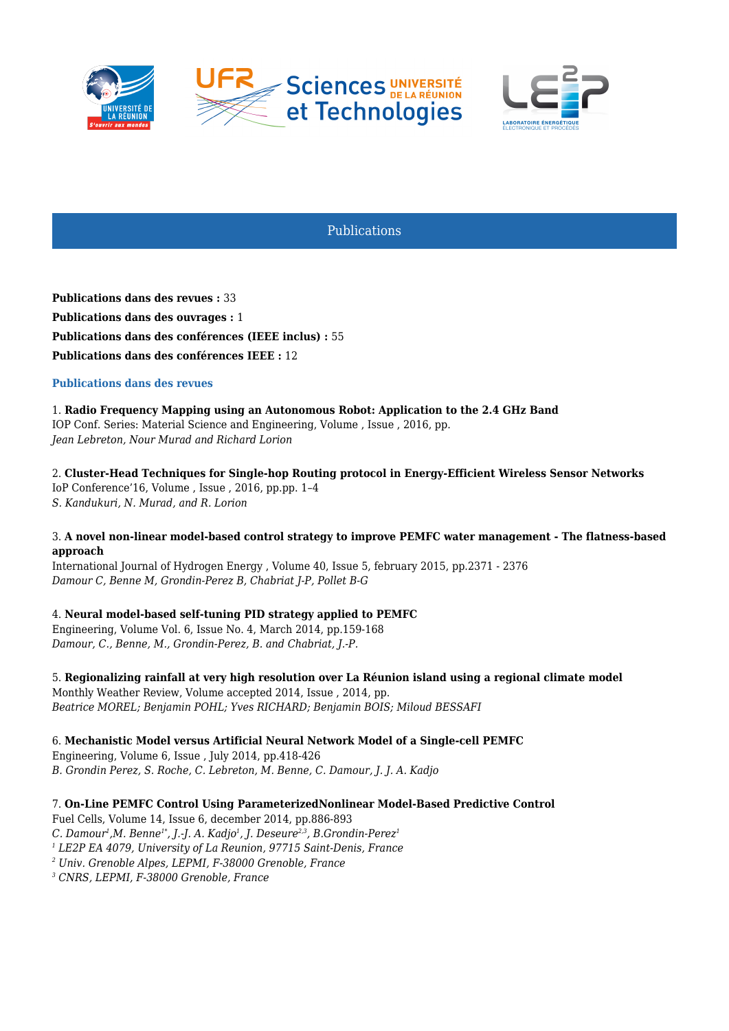



Publications

**Publications dans des revues :** 33 **Publications dans des ouvrages :** 1 **Publications dans des conférences (IEEE inclus) :** 55 **Publications dans des conférences IEEE :** 12

### **Publications dans des revues**

1. **Radio Frequency Mapping using an Autonomous Robot: Application to the 2.4 GHz Band** IOP Conf. Series: Material Science and Engineering, Volume , Issue , 2016, pp. *Jean Lebreton, Nour Murad and Richard Lorion*

2. **Cluster-Head Techniques for Single-hop Routing protocol in Energy-Efficient Wireless Sensor Networks** IoP Conference'16, Volume , Issue , 2016, pp.pp. 1–4

*S. Kandukuri, N. Murad, and R. Lorion*

#### 3. **A novel non-linear model-based control strategy to improve PEMFC water management - The flatness-based approach**

International Journal of Hydrogen Energy , Volume 40, Issue 5, february 2015, pp.2371 - 2376 *Damour C, Benne M, Grondin-Perez B, Chabriat J-P, Pollet B-G*

# 4. **Neural model-based self-tuning PID strategy applied to PEMFC**

Engineering, Volume Vol. 6, Issue No. 4, March 2014, pp.159-168 *Damour, C., Benne, M., Grondin-Perez, B. and Chabriat, J.-P.*

5. **Regionalizing rainfall at very high resolution over La Réunion island using a regional climate model** Monthly Weather Review, Volume accepted 2014, Issue , 2014, pp. *Beatrice MOREL; Benjamin POHL; Yves RICHARD; Benjamin BOIS; Miloud BESSAFI*

6. **Mechanistic Model versus Artificial Neural Network Model of a Single-cell PEMFC** Engineering, Volume 6, Issue , July 2014, pp.418-426 *B. Grondin Perez, S. Roche, C. Lebreton, M. Benne, C. Damour, J. J. A. Kadjo*

7. **On-Line PEMFC Control Using ParameterizedNonlinear Model-Based Predictive Control**

Fuel Cells, Volume 14, Issue 6, december 2014, pp.886-893 *C. Damour<sup>1</sup> ,M. Benne1\*, J.-J. A. Kadjo<sup>1</sup> , J. Deseure2,3, B.Grondin-Perez<sup>1</sup> 1 LE2P EA 4079, University of La Reunion, 97715 Saint-Denis, France 2 Univ. Grenoble Alpes, LEPMI, F-38000 Grenoble, France 3 CNRS, LEPMI, F-38000 Grenoble, France*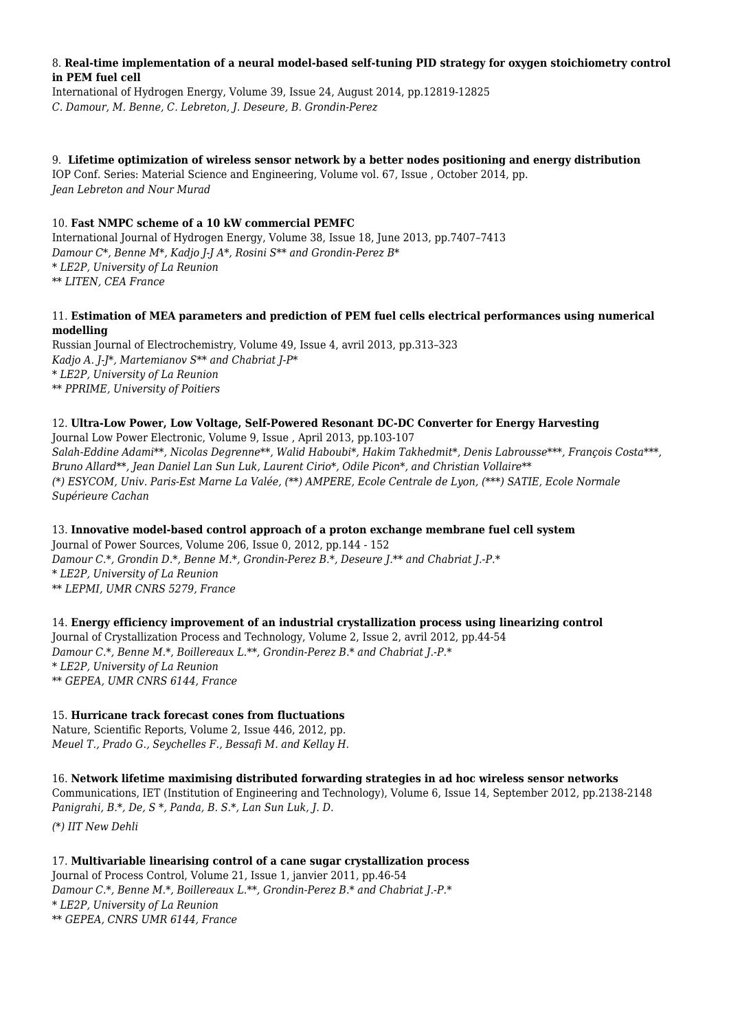#### 8. **Real-time implementation of a neural model-based self-tuning PID strategy for oxygen stoichiometry control in PEM fuel cell**

International of Hydrogen Energy, Volume 39, Issue 24, August 2014, pp.12819-12825 *C. Damour, M. Benne, C. Lebreton, J. Deseure, B. Grondin-Perez*

# 9. **Lifetime optimization of wireless sensor network by a better nodes positioning and energy distribution**

IOP Conf. Series: Material Science and Engineering, Volume vol. 67, Issue , October 2014, pp. *Jean Lebreton and Nour Murad*

# 10. **Fast NMPC scheme of a 10 kW commercial PEMFC**

International Journal of Hydrogen Energy, Volume 38, Issue 18, June 2013, pp.7407–7413 *Damour C\*, Benne M\*, Kadjo J-J A\*, Rosini S\*\* and Grondin-Perez B\* \* LE2P, University of La Reunion \*\* LITEN, CEA France*

### 11. **Estimation of MEA parameters and prediction of PEM fuel cells electrical performances using numerical modelling**

Russian Journal of Electrochemistry, Volume 49, Issue 4, avril 2013, pp.313–323 *Kadjo A. J-J\*, Martemianov S\*\* and Chabriat J-P\* \* LE2P, University of La Reunion \*\* PPRIME, University of Poitiers*

# 12. **Ultra-Low Power, Low Voltage, Self-Powered Resonant DC-DC Converter for Energy Harvesting**

Journal Low Power Electronic, Volume 9, Issue , April 2013, pp.103-107 *Salah-Eddine Adami\*\*, Nicolas Degrenne\*\*, Walid Haboubi\*, Hakim Takhedmit\*, Denis Labrousse\*\*\*, François Costa\*\*\*, Bruno Allard\*\*, Jean Daniel Lan Sun Luk, Laurent Cirio\*, Odile Picon\*, and Christian Vollaire\*\* (\*) ESYCOM, Univ. Paris-Est Marne La Valée, (\*\*) AMPERE, Ecole Centrale de Lyon, (\*\*\*) SATIE, Ecole Normale Supérieure Cachan*

# 13. **Innovative model-based control approach of a proton exchange membrane fuel cell system**

Journal of Power Sources, Volume 206, Issue 0, 2012, pp.144 - 152 *Damour C.\*, Grondin D.\*, Benne M.\*, Grondin-Perez B.\*, Deseure J.\*\* and Chabriat J.-P.\* \* LE2P, University of La Reunion \*\* LEPMI, UMR CNRS 5279, France*

14. **Energy efficiency improvement of an industrial crystallization process using linearizing control** Journal of Crystallization Process and Technology, Volume 2, Issue 2, avril 2012, pp.44-54 *Damour C.\*, Benne M.\*, Boillereaux L.\*\*, Grondin-Perez B.\* and Chabriat J.-P.\* \* LE2P, University of La Reunion \*\* GEPEA, UMR CNRS 6144, France*

# 15. **Hurricane track forecast cones from fluctuations**

Nature, Scientific Reports, Volume 2, Issue 446, 2012, pp. *Meuel T., Prado G., Seychelles F., Bessafi M. and Kellay H.*

# 16. **Network lifetime maximising distributed forwarding strategies in ad hoc wireless sensor networks**

Communications, IET (Institution of Engineering and Technology), Volume 6, Issue 14, September 2012, pp.2138-2148 *Panigrahi, B.\*, De, S \*, Panda, B. S.\*, Lan Sun Luk, J. D.*

*(\*) IIT New Dehli*

#### 17. **Multivariable linearising control of a cane sugar crystallization process** Journal of Process Control, Volume 21, Issue 1, janvier 2011, pp.46-54 *Damour C.\*, Benne M.\*, Boillereaux L.\*\*, Grondin-Perez B.\* and Chabriat J.-P.\* \* LE2P, University of La Reunion \*\* GEPEA, CNRS UMR 6144, France*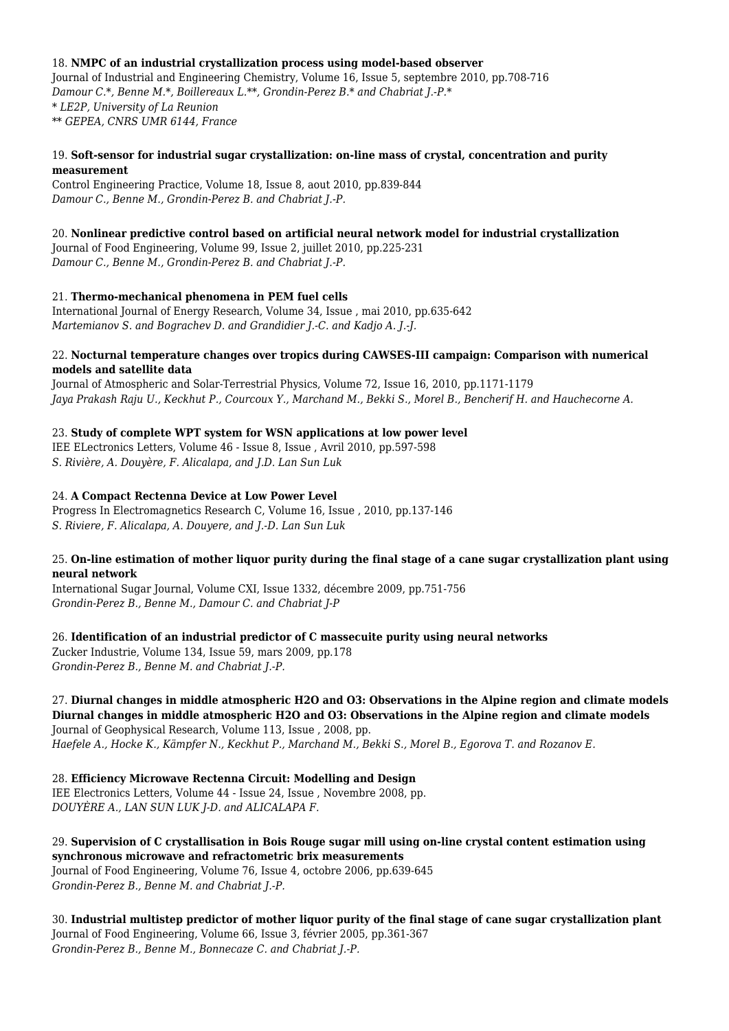#### 18. **NMPC of an industrial crystallization process using model-based observer**

Journal of Industrial and Engineering Chemistry, Volume 16, Issue 5, septembre 2010, pp.708-716 *Damour C.\*, Benne M.\*, Boillereaux L.\*\*, Grondin-Perez B.\* and Chabriat J.-P.\* \* LE2P, University of La Reunion \*\* GEPEA, CNRS UMR 6144, France*

### 19. **Soft-sensor for industrial sugar crystallization: on-line mass of crystal, concentration and purity measurement**

Control Engineering Practice, Volume 18, Issue 8, aout 2010, pp.839-844 *Damour C., Benne M., Grondin-Perez B. and Chabriat J.-P.*

# 20. **Nonlinear predictive control based on artificial neural network model for industrial crystallization**

Journal of Food Engineering, Volume 99, Issue 2, juillet 2010, pp.225-231 *Damour C., Benne M., Grondin-Perez B. and Chabriat J.-P.*

# 21. **Thermo-mechanical phenomena in PEM fuel cells**

International Journal of Energy Research, Volume 34, Issue , mai 2010, pp.635-642 *Martemianov S. and Bograchev D. and Grandidier J.-C. and Kadjo A. J.-J.*

### 22. **Nocturnal temperature changes over tropics during CAWSES-III campaign: Comparison with numerical models and satellite data**

Journal of Atmospheric and Solar-Terrestrial Physics, Volume 72, Issue 16, 2010, pp.1171-1179 *Jaya Prakash Raju U., Keckhut P., Courcoux Y., Marchand M., Bekki S., Morel B., Bencherif H. and Hauchecorne A.*

# 23. **Study of complete WPT system for WSN applications at low power level**

IEE ELectronics Letters, Volume 46 - Issue 8, Issue , Avril 2010, pp.597-598 *S. Rivière, A. Douyère, F. Alicalapa, and J.D. Lan Sun Luk*

### 24. **A Compact Rectenna Device at Low Power Level**

Progress In Electromagnetics Research C, Volume 16, Issue , 2010, pp.137-146 *S. Riviere, F. Alicalapa, A. Douyere, and J.-D. Lan Sun Luk*

### 25. **On-line estimation of mother liquor purity during the final stage of a cane sugar crystallization plant using neural network**

International Sugar Journal, Volume CXI, Issue 1332, décembre 2009, pp.751-756 *Grondin-Perez B., Benne M., Damour C. and Chabriat J-P*

26. **Identification of an industrial predictor of C massecuite purity using neural networks** Zucker Industrie, Volume 134, Issue 59, mars 2009, pp.178

*Grondin-Perez B., Benne M. and Chabriat J.-P.*

#### 27. **Diurnal changes in middle atmospheric H2O and O3: Observations in the Alpine region and climate models Diurnal changes in middle atmospheric H2O and O3: Observations in the Alpine region and climate models**

Journal of Geophysical Research, Volume 113, Issue , 2008, pp. *Haefele A., Hocke K., Kämpfer N., Keckhut P., Marchand M., Bekki S., Morel B., Egorova T. and Rozanov E.* 

# 28. **Efficiency Microwave Rectenna Circuit: Modelling and Design**

IEE Electronics Letters, Volume 44 - Issue 24, Issue , Novembre 2008, pp. *DOUYÈRE A., LAN SUN LUK J-D. and ALICALAPA F.*

# 29. **Supervision of C crystallisation in Bois Rouge sugar mill using on-line crystal content estimation using synchronous microwave and refractometric brix measurements**

Journal of Food Engineering, Volume 76, Issue 4, octobre 2006, pp.639-645 *Grondin-Perez B., Benne M. and Chabriat J.-P.*

30. **Industrial multistep predictor of mother liquor purity of the final stage of cane sugar crystallization plant** Journal of Food Engineering, Volume 66, Issue 3, février 2005, pp.361-367 *Grondin-Perez B., Benne M., Bonnecaze C. and Chabriat J.-P.*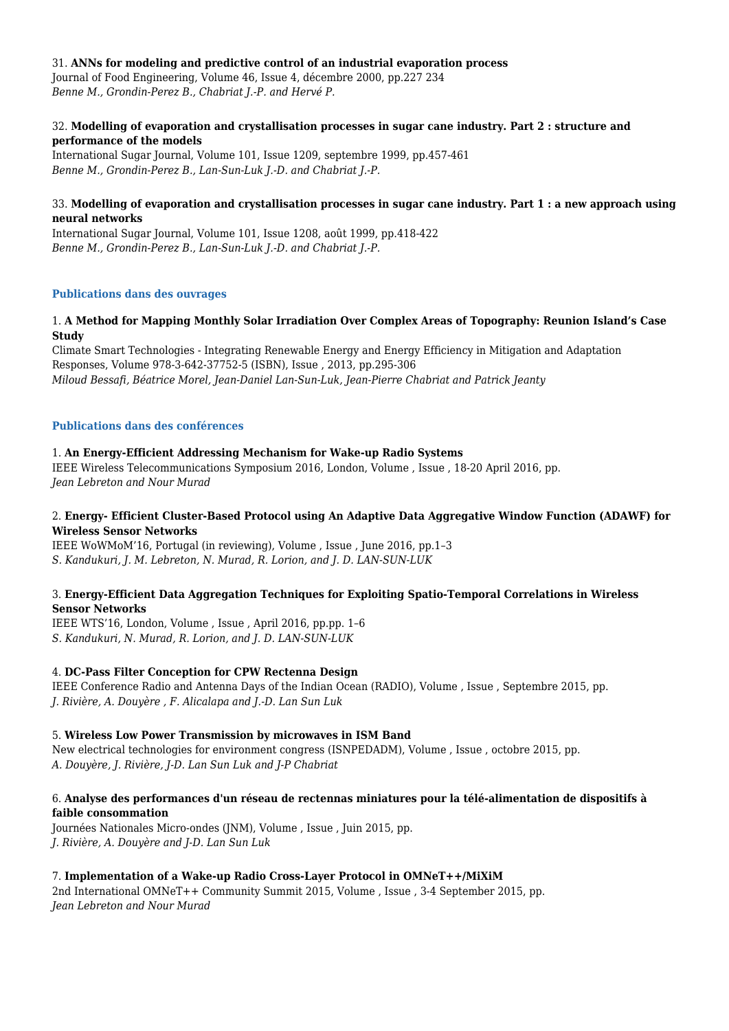#### 31. **ANNs for modeling and predictive control of an industrial evaporation process**

Journal of Food Engineering, Volume 46, Issue 4, décembre 2000, pp.227 234 *Benne M., Grondin-Perez B., Chabriat J.-P. and Hervé P.*

#### 32. **Modelling of evaporation and crystallisation processes in sugar cane industry. Part 2 : structure and performance of the models**

International Sugar Journal, Volume 101, Issue 1209, septembre 1999, pp.457-461 *Benne M., Grondin-Perez B., Lan-Sun-Luk J.-D. and Chabriat J.-P.*

#### 33. **Modelling of evaporation and crystallisation processes in sugar cane industry. Part 1 : a new approach using neural networks**

International Sugar Journal, Volume 101, Issue 1208, août 1999, pp.418-422 *Benne M., Grondin-Perez B., Lan-Sun-Luk J.-D. and Chabriat J.-P.*

#### **Publications dans des ouvrages**

#### 1. **A Method for Mapping Monthly Solar Irradiation Over Complex Areas of Topography: Reunion Island's Case Study**

Climate Smart Technologies - Integrating Renewable Energy and Energy Efficiency in Mitigation and Adaptation Responses, Volume 978-3-642-37752-5 (ISBN), Issue , 2013, pp.295-306 *Miloud Bessafi, Béatrice Morel, Jean-Daniel Lan-Sun-Luk, Jean-Pierre Chabriat and Patrick Jeanty*

#### **Publications dans des conférences**

#### 1. **An Energy-Efficient Addressing Mechanism for Wake-up Radio Systems**

IEEE Wireless Telecommunications Symposium 2016, London, Volume , Issue , 18-20 April 2016, pp. *Jean Lebreton and Nour Murad*

### 2. **Energy- Efficient Cluster-Based Protocol using An Adaptive Data Aggregative Window Function (ADAWF) for Wireless Sensor Networks**

IEEE WoWMoM'16, Portugal (in reviewing), Volume , Issue , June 2016, pp.1–3 *S. Kandukuri, J. M. Lebreton, N. Murad, R. Lorion, and J. D. LAN-SUN-LUK*

#### 3. **Energy-Efficient Data Aggregation Techniques for Exploiting Spatio-Temporal Correlations in Wireless Sensor Networks**

IEEE WTS'16, London, Volume , Issue , April 2016, pp.pp. 1–6 *S. Kandukuri, N. Murad, R. Lorion, and J. D. LAN-SUN-LUK*

#### 4. **DC-Pass Filter Conception for CPW Rectenna Design**

IEEE Conference Radio and Antenna Days of the Indian Ocean (RADIO), Volume , Issue , Septembre 2015, pp. *J. Rivière, A. Douyère , F. Alicalapa and J.-D. Lan Sun Luk*

#### 5. **Wireless Low Power Transmission by microwaves in ISM Band**

New electrical technologies for environment congress (ISNPEDADM), Volume , Issue , octobre 2015, pp. *A. Douyère, J. Rivière, J-D. Lan Sun Luk and J-P Chabriat*

### 6. **Analyse des performances d'un réseau de rectennas miniatures pour la télé-alimentation de dispositifs à faible consommation**

Journées Nationales Micro-ondes (JNM), Volume , Issue , Juin 2015, pp. *J. Rivière, A. Douyère and J-D. Lan Sun Luk*

# 7. **Implementation of a Wake-up Radio Cross-Layer Protocol in OMNeT++/MiXiM**

2nd International OMNeT++ Community Summit 2015, Volume , Issue , 3-4 September 2015, pp. *Jean Lebreton and Nour Murad*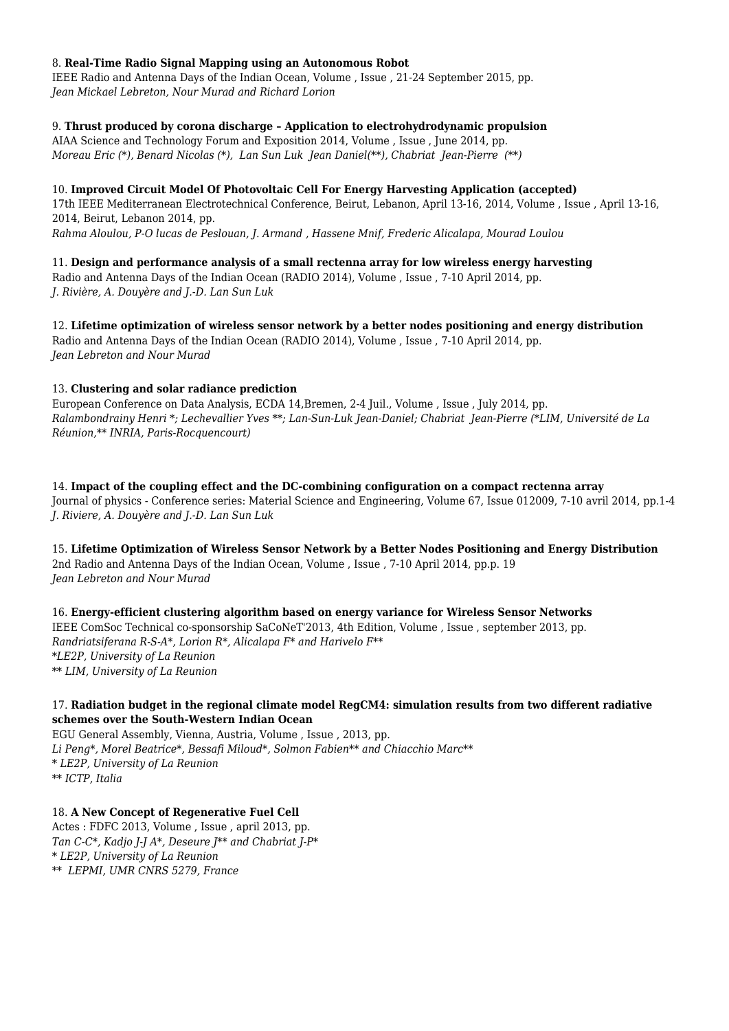### 8. **Real-Time Radio Signal Mapping using an Autonomous Robot**

IEEE Radio and Antenna Days of the Indian Ocean, Volume , Issue , 21-24 September 2015, pp. *Jean Mickael Lebreton, Nour Murad and Richard Lorion*

### 9. **Thrust produced by corona discharge – Application to electrohydrodynamic propulsion**

AIAA Science and Technology Forum and Exposition 2014, Volume , Issue , June 2014, pp. *Moreau Eric (\*), Benard Nicolas (\*), Lan Sun Luk Jean Daniel(\*\*), Chabriat Jean-Pierre (\*\*)* 

# 10. **Improved Circuit Model Of Photovoltaic Cell For Energy Harvesting Application (accepted)**

17th IEEE Mediterranean Electrotechnical Conference, Beirut, Lebanon, April 13-16, 2014, Volume , Issue , April 13-16, 2014, Beirut, Lebanon 2014, pp.

*Rahma Aloulou, P-O lucas de Peslouan, J. Armand , Hassene Mnif, Frederic Alicalapa, Mourad Loulou*

11. **Design and performance analysis of a small rectenna array for low wireless energy harvesting** Radio and Antenna Days of the Indian Ocean (RADIO 2014), Volume , Issue , 7-10 April 2014, pp. *J. Rivière, A. Douyère and J.-D. Lan Sun Luk*

12. **Lifetime optimization of wireless sensor network by a better nodes positioning and energy distribution** Radio and Antenna Days of the Indian Ocean (RADIO 2014), Volume , Issue , 7-10 April 2014, pp. *Jean Lebreton and Nour Murad*

# 13. **Clustering and solar radiance prediction**

European Conference on Data Analysis, ECDA 14,Bremen, 2-4 Juil., Volume , Issue , July 2014, pp. *Ralambondrainy Henri \*; Lechevallier Yves \*\*; Lan-Sun-Luk Jean-Daniel; Chabriat Jean-Pierre (\*LIM, Université de La Réunion,\*\* INRIA, Paris-Rocquencourt)*

14. **Impact of the coupling effect and the DC-combining configuration on a compact rectenna array** Journal of physics - Conference series: Material Science and Engineering, Volume 67, Issue 012009, 7-10 avril 2014, pp.1-4 *J. Riviere, A. Douyère and J.-D. Lan Sun Luk*

15. **Lifetime Optimization of Wireless Sensor Network by a Better Nodes Positioning and Energy Distribution** 2nd Radio and Antenna Days of the Indian Ocean, Volume , Issue , 7-10 April 2014, pp.p. 19 *Jean Lebreton and Nour Murad*

16. **Energy-efficient clustering algorithm based on energy variance for Wireless Sensor Networks** IEEE ComSoc Technical co-sponsorship SaCoNeT'2013, 4th Edition, Volume , Issue , september 2013, pp. *Randriatsiferana R-S-A\*, Lorion R\*, Alicalapa F\* and Harivelo F\*\* \*LE2P, University of La Reunion \*\* LIM, University of La Reunion*

# 17. **Radiation budget in the regional climate model RegCM4: simulation results from two different radiative schemes over the South-Western Indian Ocean**

EGU General Assembly, Vienna, Austria, Volume , Issue , 2013, pp. *Li Peng\*, Morel Beatrice\*, Bessafi Miloud\*, Solmon Fabien\*\* and Chiacchio Marc\*\* \* LE2P, University of La Reunion \*\* ICTP, Italia*

# 18. **A New Concept of Regenerative Fuel Cell**

Actes : FDFC 2013, Volume , Issue , april 2013, pp. *Tan C-C\*, Kadjo J-J A\*, Deseure J\*\* and Chabriat J-P\* \* LE2P, University of La Reunion \*\* LEPMI, UMR CNRS 5279, France*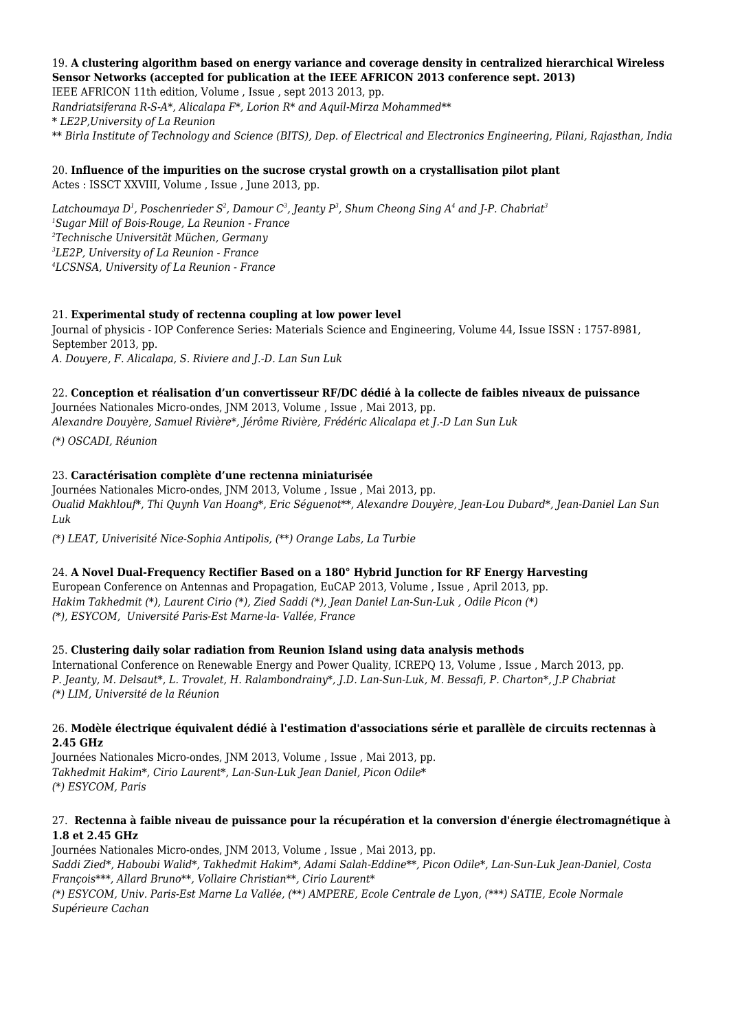# 19. **A clustering algorithm based on energy variance and coverage density in centralized hierarchical Wireless Sensor Networks (accepted for publication at the IEEE AFRICON 2013 conference sept. 2013)**

IEEE AFRICON 11th edition, Volume , Issue , sept 2013 2013, pp. *Randriatsiferana R-S-A\*, Alicalapa F\*, Lorion R\* and Aquil-Mirza Mohammed\*\* \* LE2P,University of La Reunion \*\* Birla Institute of Technology and Science (BITS), Dep. of Electrical and Electronics Engineering, Pilani, Rajasthan, India*

# 20. **Influence of the impurities on the sucrose crystal growth on a crystallisation pilot plant** Actes : ISSCT XXVIII, Volume , Issue , June 2013, pp.

*Latchoumaya D<sup>1</sup> , Poschenrieder S<sup>2</sup> , Damour C<sup>3</sup> , Jeanty P<sup>3</sup> , Shum Cheong Sing A<sup>4</sup> and J-P. Chabriat<sup>3</sup> Sugar Mill of Bois-Rouge, La Reunion - France Technische Universität Müchen, Germany LE2P, University of La Reunion - France LCSNSA, University of La Reunion - France*

# 21. **Experimental study of rectenna coupling at low power level**

Journal of physicis - IOP Conference Series: Materials Science and Engineering, Volume 44, Issue ISSN : 1757-8981, September 2013, pp. *A. Douyere, F. Alicalapa, S. Riviere and J.-D. Lan Sun Luk*

# 22. **Conception et réalisation d'un convertisseur RF/DC dédié à la collecte de faibles niveaux de puissance**

Journées Nationales Micro-ondes, JNM 2013, Volume , Issue , Mai 2013, pp. *Alexandre Douyère, Samuel Rivière\*, Jérôme Rivière, Frédéric Alicalapa et J.-D Lan Sun Luk*

*(\*) OSCADI, Réunion*

# 23. **Caractérisation complète d'une rectenna miniaturisée**

Journées Nationales Micro-ondes, JNM 2013, Volume , Issue , Mai 2013, pp. *Oualid Makhlouf\*, Thi Quynh Van Hoang\*, Eric Séguenot\*\*, Alexandre Douyère, Jean-Lou Dubard\*, Jean-Daniel Lan Sun Luk*

*(\*) LEAT, Univerisité Nice-Sophia Antipolis, (\*\*) Orange Labs, La Turbie*

# 24. **A Novel Dual-Frequency Rectifier Based on a 180° Hybrid Junction for RF Energy Harvesting**

European Conference on Antennas and Propagation, EuCAP 2013, Volume , Issue , April 2013, pp. *Hakim Takhedmit (\*), Laurent Cirio (\*), Zied Saddi (\*), Jean Daniel Lan-Sun-Luk , Odile Picon (\*) (\*), ESYCOM, Université Paris-Est Marne-la- Vallée, France*

# 25. **Clustering daily solar radiation from Reunion Island using data analysis methods**

International Conference on Renewable Energy and Power Quality, ICREPQ 13, Volume , Issue , March 2013, pp. *P. Jeanty, M. Delsaut\*, L. Trovalet, H. Ralambondrainy\*, J.D. Lan-Sun-Luk, M. Bessafi, P. Charton\*, J.P Chabriat (\*) LIM, Université de la Réunion*

### 26. **Modèle électrique équivalent dédié à l'estimation d'associations série et parallèle de circuits rectennas à 2.45 GHz**

Journées Nationales Micro-ondes, JNM 2013, Volume , Issue , Mai 2013, pp. *Takhedmit Hakim\*, Cirio Laurent\*, Lan-Sun-Luk Jean Daniel, Picon Odile\* (\*) ESYCOM, Paris*

### 27. **Rectenna à faible niveau de puissance pour la récupération et la conversion d'énergie électromagnétique à 1.8 et 2.45 GHz**

Journées Nationales Micro-ondes, JNM 2013, Volume , Issue , Mai 2013, pp. *Saddi Zied\*, Haboubi Walid\*, Takhedmit Hakim\*, Adami Salah-Eddine\*\*, Picon Odile\*, Lan-Sun-Luk Jean-Daniel, Costa François\*\*\*, Allard Bruno\*\*, Vollaire Christian\*\*, Cirio Laurent\* (\*) ESYCOM, Univ. Paris-Est Marne La Vallée, (\*\*) AMPERE, Ecole Centrale de Lyon, (\*\*\*) SATIE, Ecole Normale Supérieure Cachan*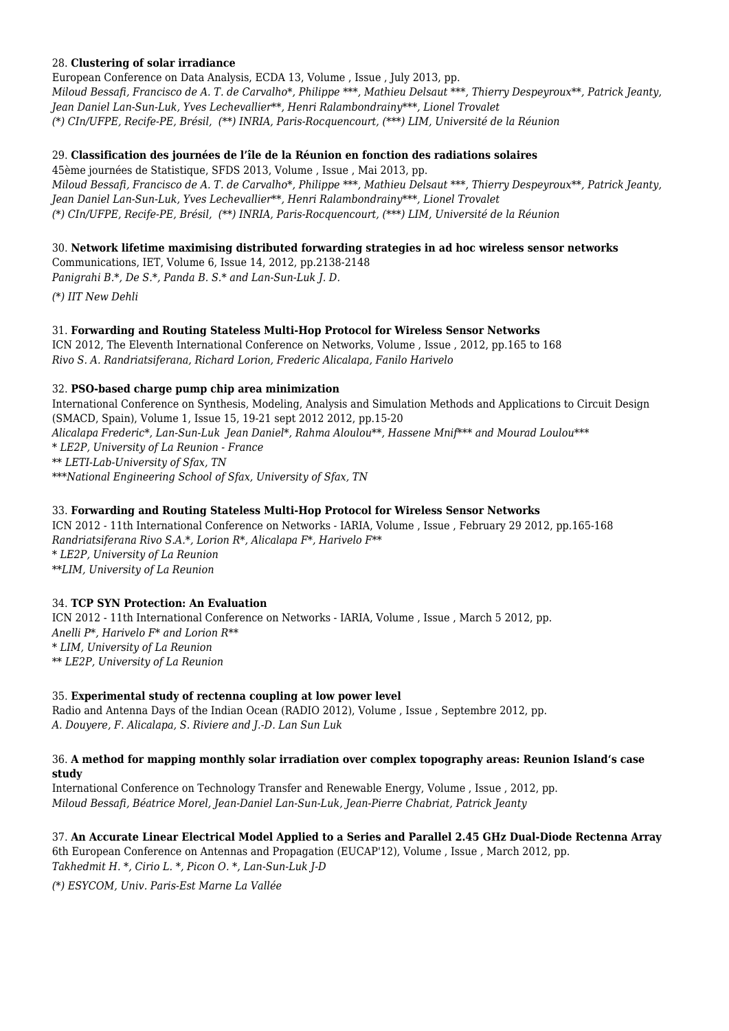### 28. **Clustering of solar irradiance**

European Conference on Data Analysis, ECDA 13, Volume , Issue , July 2013, pp. *Miloud Bessafi, Francisco de A. T. de Carvalho\*, Philippe \*\*\*, Mathieu Delsaut \*\*\*, Thierry Despeyroux\*\*, Patrick Jeanty, Jean Daniel Lan-Sun-Luk, Yves Lechevallier\*\*, Henri Ralambondrainy\*\*\*, Lionel Trovalet (\*) CIn/UFPE, Recife-PE, Brésil, (\*\*) INRIA, Paris-Rocquencourt, (\*\*\*) LIM, Université de la Réunion*

### 29. **Classification des journées de l'île de la Réunion en fonction des radiations solaires**

45ème journées de Statistique, SFDS 2013, Volume , Issue , Mai 2013, pp. *Miloud Bessafi, Francisco de A. T. de Carvalho\*, Philippe \*\*\*, Mathieu Delsaut \*\*\*, Thierry Despeyroux\*\*, Patrick Jeanty, Jean Daniel Lan-Sun-Luk, Yves Lechevallier\*\*, Henri Ralambondrainy\*\*\*, Lionel Trovalet (\*) CIn/UFPE, Recife-PE, Brésil, (\*\*) INRIA, Paris-Rocquencourt, (\*\*\*) LIM, Université de la Réunion*

### 30. **Network lifetime maximising distributed forwarding strategies in ad hoc wireless sensor networks**

Communications, IET, Volume 6, Issue 14, 2012, pp.2138-2148 *Panigrahi B.\*, De S.\*, Panda B. S.\* and Lan-Sun-Luk J. D.*

*(\*) IIT New Dehli*

### 31. **Forwarding and Routing Stateless Multi-Hop Protocol for Wireless Sensor Networks**

ICN 2012, The Eleventh International Conference on Networks, Volume , Issue , 2012, pp.165 to 168 *Rivo S. A. Randriatsiferana, Richard Lorion, Frederic Alicalapa, Fanilo Harivelo*

### 32. **PSO-based charge pump chip area minimization**

International Conference on Synthesis, Modeling, Analysis and Simulation Methods and Applications to Circuit Design (SMACD, Spain), Volume 1, Issue 15, 19-21 sept 2012 2012, pp.15-20 *Alicalapa Frederic\*, Lan-Sun-Luk Jean Daniel\*, Rahma Aloulou\*\*, Hassene Mnif\*\*\* and Mourad Loulou\*\*\* \* LE2P, University of La Reunion - France \*\* LETI-Lab-University of Sfax, TN \*\*\*National Engineering School of Sfax, University of Sfax, TN*

### 33. **Forwarding and Routing Stateless Multi-Hop Protocol for Wireless Sensor Networks**

ICN 2012 - 11th International Conference on Networks - IARIA, Volume , Issue , February 29 2012, pp.165-168 *Randriatsiferana Rivo S.A.\*, Lorion R\*, Alicalapa F\*, Harivelo F\*\* \* LE2P, University of La Reunion \*\*LIM, University of La Reunion*

# 34. **TCP SYN Protection: An Evaluation**

ICN 2012 - 11th International Conference on Networks - IARIA, Volume , Issue , March 5 2012, pp. *Anelli P\*, Harivelo F\* and Lorion R\*\* \* LIM, University of La Reunion \*\* LE2P, University of La Reunion*

#### 35. **Experimental study of rectenna coupling at low power level**

Radio and Antenna Days of the Indian Ocean (RADIO 2012), Volume , Issue , Septembre 2012, pp. *A. Douyere, F. Alicalapa, S. Riviere and J.-D. Lan Sun Luk*

#### 36. **A method for mapping monthly solar irradiation over complex topography areas: Reunion Island's case study**

International Conference on Technology Transfer and Renewable Energy, Volume , Issue , 2012, pp. *Miloud Bessafi, Béatrice Morel, Jean-Daniel Lan-Sun-Luk, Jean-Pierre Chabriat, Patrick Jeanty*

# 37. **An Accurate Linear Electrical Model Applied to a Series and Parallel 2.45 GHz Dual-Diode Rectenna Array**

6th European Conference on Antennas and Propagation (EUCAP'12), Volume , Issue , March 2012, pp. *Takhedmit H. \*, Cirio L. \*, Picon O. \*, Lan-Sun-Luk J-D*

*(\*) ESYCOM, Univ. Paris-Est Marne La Vallée*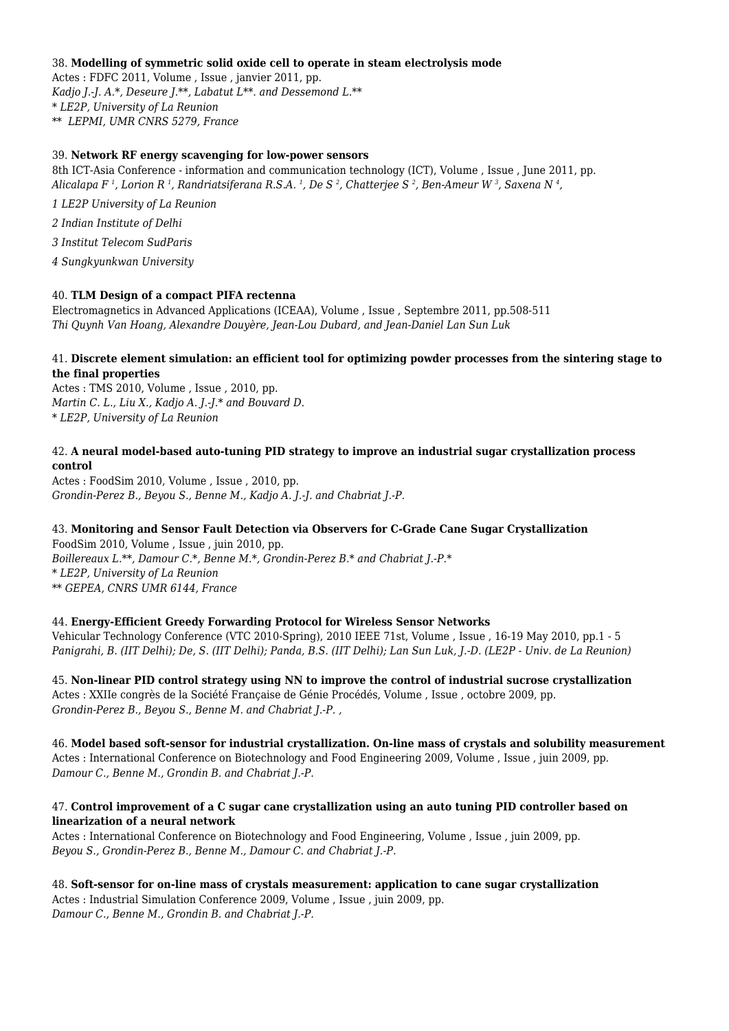#### 38. **Modelling of symmetric solid oxide cell to operate in steam electrolysis mode**

Actes : FDFC 2011, Volume , Issue , janvier 2011, pp. *Kadjo J.-J. A.\*, Deseure J.\*\*, Labatut L\*\*. and Dessemond L.\*\* \* LE2P, University of La Reunion \*\* LEPMI, UMR CNRS 5279, France*

#### 39. **Network RF energy scavenging for low-power sensors**

8th ICT-Asia Conference - information and communication technology (ICT), Volume , Issue , June 2011, pp. *Alicalapa F <sup>1</sup> , Lorion R <sup>1</sup> , Randriatsiferana R.S.A. <sup>1</sup> , De S <sup>2</sup> , Chatterjee S <sup>2</sup> , Ben-Ameur W <sup>3</sup> , Saxena N <sup>4</sup> ,*

*1 LE2P University of La Reunion*

*2 Indian Institute of Delhi*

*3 Institut Telecom SudParis*

*4 Sungkyunkwan University*

### 40. **TLM Design of a compact PIFA rectenna**

Electromagnetics in Advanced Applications (ICEAA), Volume , Issue , Septembre 2011, pp.508-511 *Thi Quynh Van Hoang, Alexandre Douyère, Jean-Lou Dubard, and Jean-Daniel Lan Sun Luk*

### 41. **Discrete element simulation: an efficient tool for optimizing powder processes from the sintering stage to the final properties**

Actes : TMS 2010, Volume , Issue , 2010, pp. *Martin C. L., Liu X., Kadjo A. J.-J.\* and Bouvard D. \* LE2P, University of La Reunion*

#### 42. **A neural model-based auto-tuning PID strategy to improve an industrial sugar crystallization process control**

Actes : FoodSim 2010, Volume , Issue , 2010, pp. *Grondin-Perez B., Beyou S., Benne M., Kadjo A. J.-J. and Chabriat J.-P.*

# 43. **Monitoring and Sensor Fault Detection via Observers for C-Grade Cane Sugar Crystallization**

FoodSim 2010, Volume , Issue , juin 2010, pp. *Boillereaux L.\*\*, Damour C.\*, Benne M.\*, Grondin-Perez B.\* and Chabriat J.-P.\* \* LE2P, University of La Reunion \*\* GEPEA, CNRS UMR 6144, France*

#### 44. **Energy-Efficient Greedy Forwarding Protocol for Wireless Sensor Networks**

Vehicular Technology Conference (VTC 2010-Spring), 2010 IEEE 71st, Volume , Issue , 16-19 May 2010, pp.1 - 5 *Panigrahi, B. (IIT Delhi); De, S. (IIT Delhi); Panda, B.S. (IIT Delhi); Lan Sun Luk, J.-D. (LE2P - Univ. de La Reunion)*

45. **Non-linear PID control strategy using NN to improve the control of industrial sucrose crystallization** Actes : XXIIe congrès de la Société Française de Génie Procédés, Volume , Issue , octobre 2009, pp. *Grondin-Perez B., Beyou S., Benne M. and Chabriat J.-P. ,*

46. **Model based soft-sensor for industrial crystallization. On-line mass of crystals and solubility measurement** Actes : International Conference on Biotechnology and Food Engineering 2009, Volume , Issue , juin 2009, pp. *Damour C., Benne M., Grondin B. and Chabriat J.-P.*

### 47. **Control improvement of a C sugar cane crystallization using an auto tuning PID controller based on linearization of a neural network**

Actes : International Conference on Biotechnology and Food Engineering, Volume , Issue , juin 2009, pp. *Beyou S., Grondin-Perez B., Benne M., Damour C. and Chabriat J.-P.*

48. **Soft-sensor for on-line mass of crystals measurement: application to cane sugar crystallization** Actes : Industrial Simulation Conference 2009, Volume , Issue , juin 2009, pp. *Damour C., Benne M., Grondin B. and Chabriat J.-P.*